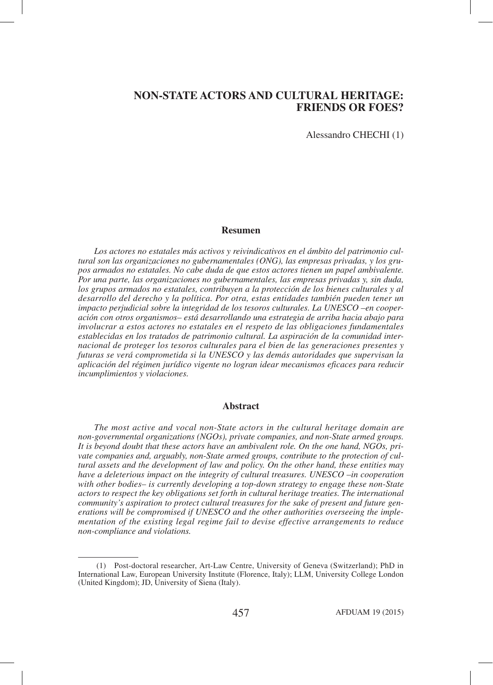Alessandro CHECHI (1)

#### **Resumen**

*Los actores no estatales más activos y reivindicativos en el ámbito del patrimonio cultural son las organizaciones no gubernamentales (ONG), las empresas privadas, y los grupos armados no estatales. No cabe duda de que estos actores tienen un papel ambivalente. Por una parte, las organizaciones no gubernamentales, las empresas privadas y, sin duda, los grupos armados no estatales, contribuyen a la protección de los bienes culturales y al desarrollo del derecho y la política. Por otra, estas entidades también pueden tener un impacto perjudicial sobre la integridad de los tesoros culturales. La UNESCO –en cooperación con otros organismos– está desarrollando una estrategia de arriba hacia abajo para involucrar a estos actores no estatales en el respeto de las obligaciones fundamentales establecidas en los tratados de patrimonio cultural. La aspiración de la comunidad internacional de proteger los tesoros culturales para el bien de las generaciones presentes y futuras se verá comprometida si la UNESCO y las demás autoridades que supervisan la aplicación del régimen jurídico vigente no logran idear mecanismos eficaces para reducir incumplimientos y violaciones.*

## **Abstract**

*The most active and vocal non-State actors in the cultural heritage domain are non-governmental organizations (NGOs), private companies, and non-State armed groups. It is beyond doubt that these actors have an ambivalent role. On the one hand, NGOs, private companies and, arguably, non-State armed groups, contribute to the protection of cultural assets and the development of law and policy. On the other hand, these entities may have a deleterious impact on the integrity of cultural treasures. UNESCO –in cooperation with other bodies– is currently developing a top-down strategy to engage these non-State actors to respect the key obligations set forth in cultural heritage treaties. The international community's aspiration to protect cultural treasures for the sake of present and future generations will be compromised if UNESCO and the other authorities overseeing the implementation of the existing legal regime fail to devise effective arrangements to reduce non-compliance and violations.*

 <sup>(1)</sup> Post-doctoral researcher, Art-Law Centre, University of Geneva (Switzerland); PhD in International Law, European University Institute (Florence, Italy); LLM, University College London (United Kingdom); JD, University of Siena (Italy).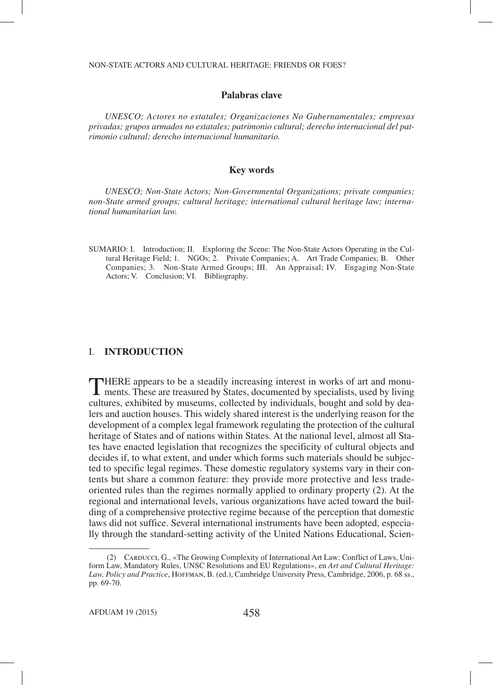## **Palabras clave**

*UNESCO; Actores no estatales; Organizaciones No Gubernamentales; empresas privadas; grupos armados no estatales; patrimonio cultural; derecho internacional del patrimonio cultural; derecho internacional humanitario.*

## **Key words**

*UNESCO; Non-State Actors; Non-Governmental Organizations; private companies; non-State armed groups; cultural heritage; international cultural heritage law; international humanitarian law.*

SUMARIO: I. Introduction; II. Exploring the Scene: The Non-State Actors Operating in the Cultural Heritage Field; 1. NGOs; 2. Private Companies; A. Art Trade Companies; B. Other Companies; 3. Non-State Armed Groups; III. An Appraisal; IV. Engaging Non-State Actors; V. Conclusion; VI. Bibliography.

### I. **INTRODUCTION**

THERE appears to be a steadily increasing interest in works of art and monu-**I** ments. These are treasured by States, documented by specialists, used by living cultures, exhibited by museums, collected by individuals, bought and sold by dealers and auction houses. This widely shared interest is the underlying reason for the development of a complex legal framework regulating the protection of the cultural heritage of States and of nations within States. At the national level, almost all States have enacted legislation that recognizes the specificity of cultural objects and decides if, to what extent, and under which forms such materials should be subjected to specific legal regimes. These domestic regulatory systems vary in their contents but share a common feature: they provide more protective and less tradeoriented rules than the regimes normally applied to ordinary property (2). At the regional and international levels, various organizations have acted toward the building of a comprehensive protective regime because of the perception that domestic laws did not suffice. Several international instruments have been adopted, especially through the standard-setting activity of the United Nations Educational, Scien-

 <sup>(2)</sup> Carducci, G., «The Growing Complexity of International Art Law: Conflict of Laws, Uniform Law, Mandatory Rules, UNSC Resolutions and EU Regulations», en *Art and Cultural Heritage:*  Law, Policy and Practice, HOFFMAN, B. (ed.), Cambridge University Press, Cambridge, 2006, p. 68 ss., pp. 69-70.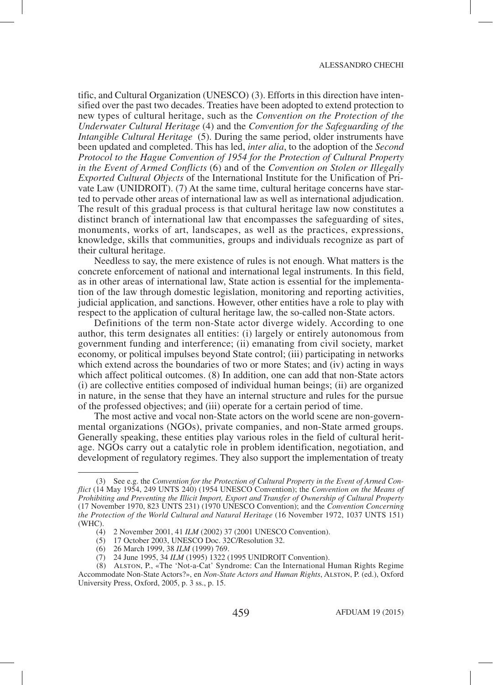tific, and Cultural Organization (UNESCO) (3). Efforts in this direction have intensified over the past two decades. Treaties have been adopted to extend protection to new types of cultural heritage, such as the *Convention on the Protection of the Underwater Cultural Heritage* (4) and the *Convention for the Safeguarding of the Intangible Cultural Heritage* (5). During the same period, older instruments have been updated and completed. This has led, *inter alia*, to the adoption of the *Second Protocol to the Hague Convention of 1954 for the Protection of Cultural Property in the Event of Armed Conflicts* (6) and of the *Convention on Stolen or Illegally Exported Cultural Objects* of the International Institute for the Unification of Private Law (UNIDROIT). (7) At the same time, cultural heritage concerns have started to pervade other areas of international law as well as international adjudication. The result of this gradual process is that cultural heritage law now constitutes a distinct branch of international law that encompasses the safeguarding of sites, monuments, works of art, landscapes, as well as the practices, expressions, knowledge, skills that communities, groups and individuals recognize as part of their cultural heritage.

Needless to say, the mere existence of rules is not enough. What matters is the concrete enforcement of national and international legal instruments. In this field, as in other areas of international law, State action is essential for the implementation of the law through domestic legislation, monitoring and reporting activities, judicial application, and sanctions. However, other entities have a role to play with respect to the application of cultural heritage law, the so-called non-State actors.

Definitions of the term non-State actor diverge widely. According to one author, this term designates all entities: (i) largely or entirely autonomous from government funding and interference; (ii) emanating from civil society, market economy, or political impulses beyond State control; (iii) participating in networks which extend across the boundaries of two or more States; and (iv) acting in ways which affect political outcomes. (8) In addition, one can add that non-State actors (i) are collective entities composed of individual human beings; (ii) are organized in nature, in the sense that they have an internal structure and rules for the pursue of the professed objectives; and (iii) operate for a certain period of time.

The most active and vocal non-State actors on the world scene are non-governmental organizations (NGOs), private companies, and non-State armed groups. Generally speaking, these entities play various roles in the field of cultural heritage. NGOs carry out a catalytic role in problem identification, negotiation, and development of regulatory regimes. They also support the implementation of treaty

 <sup>(3)</sup> See e.g. the *Convention for the Protection of Cultural Property in the Event of Armed Conflict* (14 May 1954, 249 UNTS 240) (1954 UNESCO Convention); the *Convention on the Means of Prohibiting and Preventing the Illicit Import, Export and Transfer of Ownership of Cultural Property* (17 November 1970, 823 UNTS 231) (1970 UNESCO Convention); and the *Convention Concerning the Protection of the World Cultural and Natural Heritage* (16 November 1972, 1037 UNTS 151) (WHC).

 <sup>(4)</sup> 2 November 2001, 41 *ILM* (2002) 37 (2001 UNESCO Convention).

 <sup>(5)</sup> 17 October 2003, UNESCO Doc. 32C/Resolution 32.

 <sup>(6)</sup> 26 March 1999, 38 *ILM* (1999) 769.

 <sup>(7)</sup> 24 June 1995, 34 *ILM* (1995) 1322 (1995 UNIDROIT Convention).

 <sup>(8)</sup> Alston, P., «The 'Not-a-Cat' Syndrome: Can the International Human Rights Regime Accommodate Non-State Actors?», en *Non-State Actors and Human Rights*, Alston, P. (ed.), Oxford University Press, Oxford, 2005, p. 3 ss., p. 15.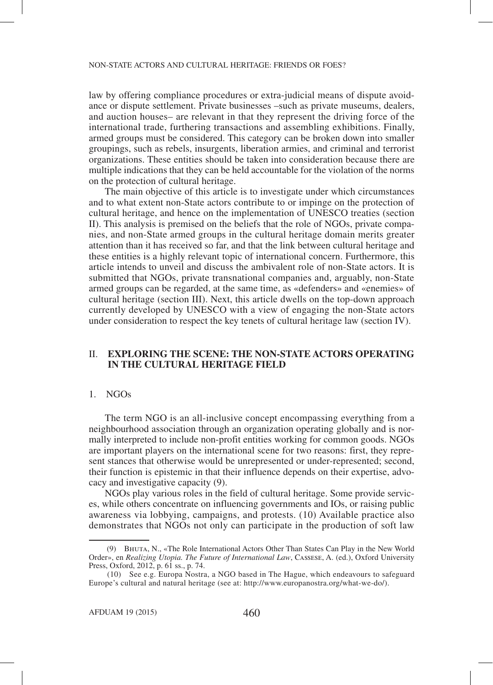law by offering compliance procedures or extra-judicial means of dispute avoidance or dispute settlement. Private businesses –such as private museums, dealers, and auction houses– are relevant in that they represent the driving force of the international trade, furthering transactions and assembling exhibitions. Finally, armed groups must be considered. This category can be broken down into smaller groupings, such as rebels, insurgents, liberation armies, and criminal and terrorist organizations. These entities should be taken into consideration because there are multiple indications that they can be held accountable for the violation of the norms on the protection of cultural heritage.

The main objective of this article is to investigate under which circumstances and to what extent non-State actors contribute to or impinge on the protection of cultural heritage, and hence on the implementation of UNESCO treaties (section II). This analysis is premised on the beliefs that the role of NGOs, private companies, and non-State armed groups in the cultural heritage domain merits greater attention than it has received so far, and that the link between cultural heritage and these entities is a highly relevant topic of international concern. Furthermore, this article intends to unveil and discuss the ambivalent role of non-State actors. It is submitted that NGOs, private transnational companies and, arguably, non-State armed groups can be regarded, at the same time, as «defenders» and «enemies» of cultural heritage (section III). Next, this article dwells on the top-down approach currently developed by UNESCO with a view of engaging the non-State actors under consideration to respect the key tenets of cultural heritage law (section IV).

## II. **EXPLORING THE SCENE: THE NON-STATE ACTORS OPERATING IN THE CULTURAL HERITAGE FIELD**

### 1. NGOs

The term NGO is an all-inclusive concept encompassing everything from a neighbourhood association through an organization operating globally and is normally interpreted to include non-profit entities working for common goods. NGOs are important players on the international scene for two reasons: first, they represent stances that otherwise would be unrepresented or under-represented; second, their function is epistemic in that their influence depends on their expertise, advocacy and investigative capacity (9).

NGOs play various roles in the field of cultural heritage. Some provide services, while others concentrate on influencing governments and IOs, or raising public awareness via lobbying, campaigns, and protests. (10) Available practice also demonstrates that NGOs not only can participate in the production of soft law

 <sup>(9)</sup> Bhuta, N., «The Role International Actors Other Than States Can Play in the New World Order», en *Realizing Utopia. The Future of International Law*, Cassese, A. (ed.), Oxford University Press, Oxford, 2012, p. 61 ss., p. 74.

 <sup>(10)</sup> See e.g. Europa Nostra, a NGO based in The Hague, which endeavours to safeguard Europe's cultural and natural heritage (see at: http://www.europanostra.org/what-we-do/).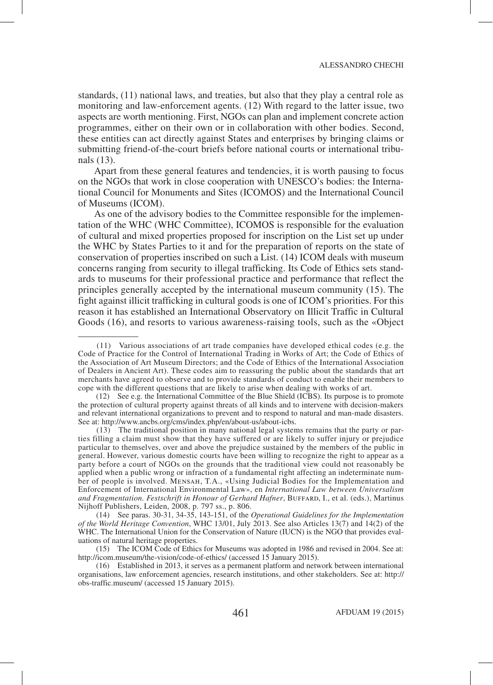standards, (11) national laws, and treaties, but also that they play a central role as monitoring and law-enforcement agents. (12) With regard to the latter issue, two aspects are worth mentioning. First, NGOs can plan and implement concrete action programmes, either on their own or in collaboration with other bodies. Second, these entities can act directly against States and enterprises by bringing claims or submitting friend-of-the-court briefs before national courts or international tribunals (13).

Apart from these general features and tendencies, it is worth pausing to focus on the NGOs that work in close cooperation with UNESCO's bodies: the International Council for Monuments and Sites (ICOMOS) and the International Council of Museums (ICOM).

As one of the advisory bodies to the Committee responsible for the implementation of the WHC (WHC Committee), ICOMOS is responsible for the evaluation of cultural and mixed properties proposed for inscription on the List set up under the WHC by States Parties to it and for the preparation of reports on the state of conservation of properties inscribed on such a List. (14) ICOM deals with museum concerns ranging from security to illegal trafficking. Its Code of Ethics sets standards to museums for their professional practice and performance that reflect the principles generally accepted by the international museum community (15). The fight against illicit trafficking in cultural goods is one of ICOM's priorities. For this reason it has established an International Observatory on Illicit Traffic in Cultural Goods (16), and resorts to various awareness-raising tools, such as the «Object

 <sup>(11)</sup> Various associations of art trade companies have developed ethical codes (e.g. the Code of Practice for the Control of International Trading in Works of Art; the Code of Ethics of the Association of Art Museum Directors; and the Code of Ethics of the International Association of Dealers in Ancient Art). These codes aim to reassuring the public about the standards that art merchants have agreed to observe and to provide standards of conduct to enable their members to cope with the different questions that are likely to arise when dealing with works of art.

 <sup>(12)</sup> See e.g. the International Committee of the Blue Shield (ICBS). Its purpose is to promote the protection of cultural property against threats of all kinds and to intervene with decision-makers and relevant international organizations to prevent and to respond to natural and man-made disasters. See at: http://www.ancbs.org/cms/index.php/en/about-us/about-icbs.

 <sup>(13)</sup> The traditional position in many national legal systems remains that the party or parties filling a claim must show that they have suffered or are likely to suffer injury or prejudice particular to themselves, over and above the prejudice sustained by the members of the public in general. However, various domestic courts have been willing to recognize the right to appear as a party before a court of NGOs on the grounds that the traditional view could not reasonably be applied when a public wrong or infraction of a fundamental right affecting an indeterminate number of people is involved. Mensah, T.A., «Using Judicial Bodies for the Implementation and Enforcement of International Environmental Law», en *International Law between Universalism*  and Fragmentation. Festschrift in Honour of Gerhard Hafner, BUFFARD, I., et al. (eds.), Martinus Nijhoff Publishers, Leiden, 2008, p. 797 ss., p. 806.

 <sup>(14)</sup> See paras. 30-31, 34-35, 143-151, of the *Operational Guidelines for the Implementation of the World Heritage Convention*, WHC 13/01, July 2013. See also Articles 13(7) and 14(2) of the WHC. The International Union for the Conservation of Nature (IUCN) is the NGO that provides evaluations of natural heritage properties.

 <sup>(15)</sup> The ICOM Code of Ethics for Museums was adopted in 1986 and revised in 2004. See at: http://icom.museum/the-vision/code-of-ethics/ (accessed 15 January 2015).

 <sup>(16)</sup> Established in 2013, it serves as a permanent platform and network between international organisations, law enforcement agencies, research institutions, and other stakeholders. See at: http:// obs-traffic.museum/ (accessed 15 January 2015).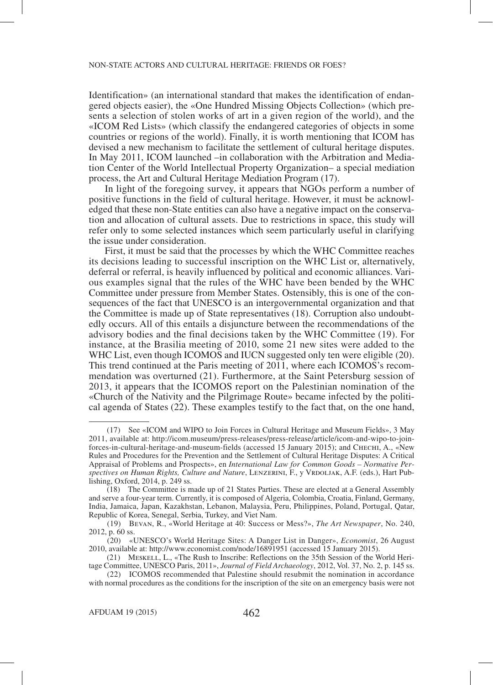Identification» (an international standard that makes the identification of endangered objects easier), the «One Hundred Missing Objects Collection» (which presents a selection of stolen works of art in a given region of the world), and the «ICOM Red Lists» (which classify the endangered categories of objects in some countries or regions of the world). Finally, it is worth mentioning that ICOM has devised a new mechanism to facilitate the settlement of cultural heritage disputes. In May 2011, ICOM launched –in collaboration with the Arbitration and Mediation Center of the World Intellectual Property Organization– a special mediation process, the Art and Cultural Heritage Mediation Program (17).

In light of the foregoing survey, it appears that NGOs perform a number of positive functions in the field of cultural heritage. However, it must be acknowledged that these non-State entities can also have a negative impact on the conservation and allocation of cultural assets. Due to restrictions in space, this study will refer only to some selected instances which seem particularly useful in clarifying the issue under consideration.

First, it must be said that the processes by which the WHC Committee reaches its decisions leading to successful inscription on the WHC List or, alternatively, deferral or referral, is heavily influenced by political and economic alliances. Various examples signal that the rules of the WHC have been bended by the WHC Committee under pressure from Member States. Ostensibly, this is one of the consequences of the fact that UNESCO is an intergovernmental organization and that the Committee is made up of State representatives (18). Corruption also undoubtedly occurs. All of this entails a disjuncture between the recommendations of the advisory bodies and the final decisions taken by the WHC Committee (19). For instance, at the Brasilia meeting of 2010, some 21 new sites were added to the WHC List, even though ICOMOS and IUCN suggested only ten were eligible (20). This trend continued at the Paris meeting of 2011, where each ICOMOS's recommendation was overturned (21). Furthermore, at the Saint Petersburg session of 2013, it appears that the ICOMOS report on the Palestinian nomination of the «Church of the Nativity and the Pilgrimage Route» became infected by the political agenda of States (22). These examples testify to the fact that, on the one hand,

 <sup>(17)</sup> See «ICOM and WIPO to Join Forces in Cultural Heritage and Museum Fields», 3 May 2011, available at: http://icom.museum/press-releases/press-release/article/icom-and-wipo-to-joinforces-in-cultural-heritage-and-museum-fields (accessed 15 January 2015); and Chechi, A., «New Rules and Procedures for the Prevention and the Settlement of Cultural Heritage Disputes: A Critical Appraisal of Problems and Prospects», en *International Law for Common Goods – Normative Per*spectives on Human Rights, Culture and Nature, LENZERINI, F., y VRDOLJAK, A.F. (eds.), Hart Publishing, Oxford, 2014, p. 249 ss.

 <sup>(18)</sup> The Committee is made up of 21 States Parties. These are elected at a General Assembly and serve a four-year term. Currently, it is composed of Algeria, Colombia, Croatia, Finland, Germany, India, Jamaica, Japan, Kazakhstan, Lebanon, Malaysia, Peru, Philippines, Poland, Portugal, Qatar, Republic of Korea, Senegal, Serbia, Turkey, and Viet Nam.

 <sup>(19)</sup> Bevan, R., «World Heritage at 40: Success or Mess?», *The Art Newspaper*, No. 240, 2012, p. 60 ss.

 <sup>(20)</sup> «UNESCO's World Heritage Sites: A Danger List in Danger», *Economist*, 26 August 2010, available at: http://www.economist.com/node/16891951 (accessed 15 January 2015).

 <sup>(21)</sup> Meskell, L., «The Rush to Inscribe: Reflections on the 35th Session of the World Heritage Committee, UNESCO Paris, 2011», *Journal of Field Archaeology*, 2012, Vol. 37, No. 2, p. 145 ss.

 <sup>(22)</sup> ICOMOS recommended that Palestine should resubmit the nomination in accordance with normal procedures as the conditions for the inscription of the site on an emergency basis were not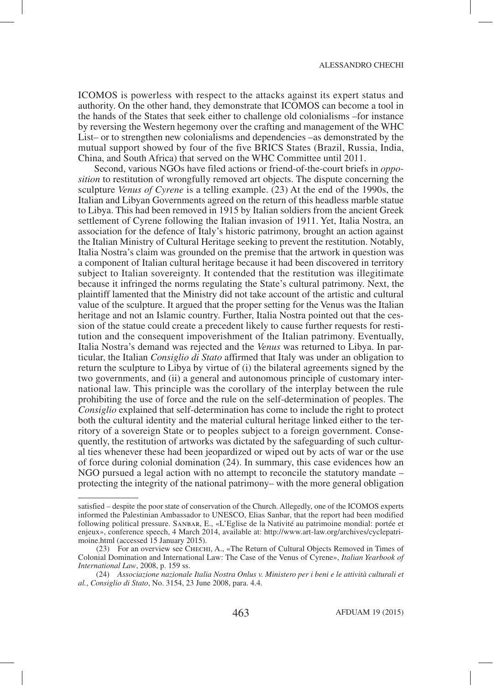ICOMOS is powerless with respect to the attacks against its expert status and authority. On the other hand, they demonstrate that ICOMOS can become a tool in the hands of the States that seek either to challenge old colonialisms –for instance by reversing the Western hegemony over the crafting and management of the WHC List– or to strengthen new colonialisms and dependencies –as demonstrated by the mutual support showed by four of the five BRICS States (Brazil, Russia, India, China, and South Africa) that served on the WHC Committee until 2011.

Second, various NGOs have filed actions or friend-of-the-court briefs in *opposition* to restitution of wrongfully removed art objects. The dispute concerning the sculpture *Venus of Cyrene* is a telling example. (23) At the end of the 1990s, the Italian and Libyan Governments agreed on the return of this headless marble statue to Libya. This had been removed in 1915 by Italian soldiers from the ancient Greek settlement of Cyrene following the Italian invasion of 1911. Yet, Italia Nostra, an association for the defence of Italy's historic patrimony, brought an action against the Italian Ministry of Cultural Heritage seeking to prevent the restitution. Notably, Italia Nostra's claim was grounded on the premise that the artwork in question was a component of Italian cultural heritage because it had been discovered in territory subject to Italian sovereignty. It contended that the restitution was illegitimate because it infringed the norms regulating the State's cultural patrimony. Next, the plaintiff lamented that the Ministry did not take account of the artistic and cultural value of the sculpture. It argued that the proper setting for the Venus was the Italian heritage and not an Islamic country. Further, Italia Nostra pointed out that the cession of the statue could create a precedent likely to cause further requests for restitution and the consequent impoverishment of the Italian patrimony. Eventually, Italia Nostra's demand was rejected and the *Venus* was returned to Libya. In particular, the Italian *Consiglio di Stato* affirmed that Italy was under an obligation to return the sculpture to Libya by virtue of (i) the bilateral agreements signed by the two governments, and (ii) a general and autonomous principle of customary international law. This principle was the corollary of the interplay between the rule prohibiting the use of force and the rule on the self-determination of peoples. The *Consiglio* explained that self-determination has come to include the right to protect both the cultural identity and the material cultural heritage linked either to the territory of a sovereign State or to peoples subject to a foreign government. Consequently, the restitution of artworks was dictated by the safeguarding of such cultural ties whenever these had been jeopardized or wiped out by acts of war or the use of force during colonial domination (24). In summary, this case evidences how an NGO pursued a legal action with no attempt to reconcile the statutory mandate – protecting the integrity of the national patrimony– with the more general obligation

satisfied – despite the poor state of conservation of the Church. Allegedly, one of the ICOMOS experts informed the Palestinian Ambassador to UNESCO, Elias Sanbar, that the report had been modified following political pressure. Sanbar, E., «L'Eglise de la Nativité au patrimoine mondial: portée et enjeux», conference speech, 4 March 2014, available at: http://www.art-law.org/archives/cyclepatrimoine.html (accessed 15 January 2015).

 <sup>(23)</sup> For an overview see Chechi, A., «The Return of Cultural Objects Removed in Times of Colonial Domination and International Law: The Case of the Venus of Cyrene», *Italian Yearbook of International Law*, 2008, p. 159 ss.

 <sup>(24)</sup> *Associazione nazionale Italia Nostra Onlus v. Ministero per i beni e le attività culturali et al.*, *Consiglio di Stato*, No. 3154, 23 June 2008, para. 4.4.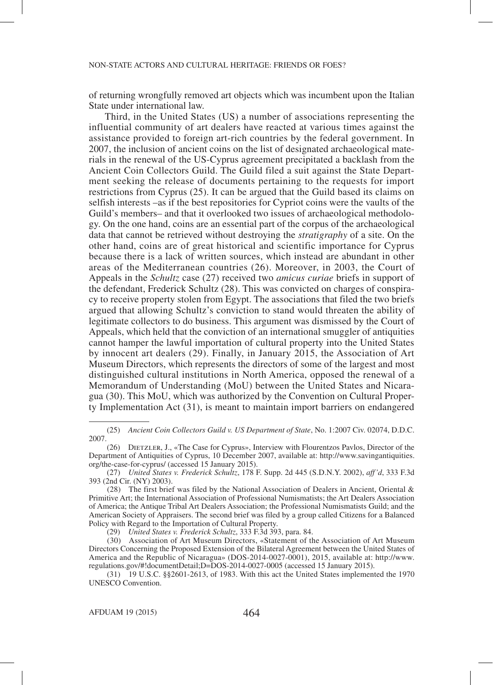of returning wrongfully removed art objects which was incumbent upon the Italian State under international law.

Third, in the United States (US) a number of associations representing the influential community of art dealers have reacted at various times against the assistance provided to foreign art-rich countries by the federal government. In 2007, the inclusion of ancient coins on the list of designated archaeological materials in the renewal of the US-Cyprus agreement precipitated a backlash from the Ancient Coin Collectors Guild. The Guild filed a suit against the State Department seeking the release of documents pertaining to the requests for import restrictions from Cyprus (25). It can be argued that the Guild based its claims on selfish interests –as if the best repositories for Cypriot coins were the vaults of the Guild's members– and that it overlooked two issues of archaeological methodology. On the one hand, coins are an essential part of the corpus of the archaeological data that cannot be retrieved without destroying the *stratigraphy* of a site. On the other hand, coins are of great historical and scientific importance for Cyprus because there is a lack of written sources, which instead are abundant in other areas of the Mediterranean countries (26). Moreover, in 2003, the Court of Appeals in the *Schultz* case (27) received two *amicus curiae* briefs in support of the defendant, Frederick Schultz (28). This was convicted on charges of conspiracy to receive property stolen from Egypt. The associations that filed the two briefs argued that allowing Schultz's conviction to stand would threaten the ability of legitimate collectors to do business. This argument was dismissed by the Court of Appeals, which held that the conviction of an international smuggler of antiquities cannot hamper the lawful importation of cultural property into the United States by innocent art dealers (29). Finally, in January 2015, the Association of Art Museum Directors, which represents the directors of some of the largest and most distinguished cultural institutions in North America, opposed the renewal of a Memorandum of Understanding (MoU) between the United States and Nicaragua (30). This MoU, which was authorized by the Convention on Cultural Property Implementation Act (31), is meant to maintain import barriers on endangered

 <sup>(25)</sup> *Ancient Coin Collectors Guild v. US Department of State*, No. 1:2007 Civ. 02074, D.D.C. 2007.

 <sup>(26)</sup> Dietzler, J., «The Case for Cyprus», Interview with Flourentzos Pavlos, Director of the Department of Antiquities of Cyprus, 10 December 2007, available at: http://www.savingantiquities. org/the-case-for-cyprus/ (accessed 15 January 2015).

 <sup>(27)</sup> *United States v. Frederick Schultz*, 178 F. Supp. 2d 445 (S.D.N.Y. 2002), *aff'd*, 333 F.3d 393 (2nd Cir. (NY) 2003).

 <sup>(28)</sup> The first brief was filed by the National Association of Dealers in Ancient, Oriental & Primitive Art; the International Association of Professional Numismatists; the Art Dealers Association of America; the Antique Tribal Art Dealers Association; the Professional Numismatists Guild; and the American Society of Appraisers. The second brief was filed by a group called Citizens for a Balanced Policy with Regard to the Importation of Cultural Property.

 <sup>(29)</sup> *United States v. Frederick Schultz*, 333 F.3d 393, para. 84.

 <sup>(30)</sup> Association of Art Museum Directors, «Statement of the Association of Art Museum Directors Concerning the Proposed Extension of the Bilateral Agreement between the United States of America and the Republic of Nicaragua» (DOS-2014-0027-0001), 2015, available at: http://www. regulations.gov/#!documentDetail;D=DOS-2014-0027-0005 (accessed 15 January 2015).

 <sup>(31)</sup> 19 U.S.C. §§2601-2613, of 1983. With this act the United States implemented the 1970 UNESCO Convention.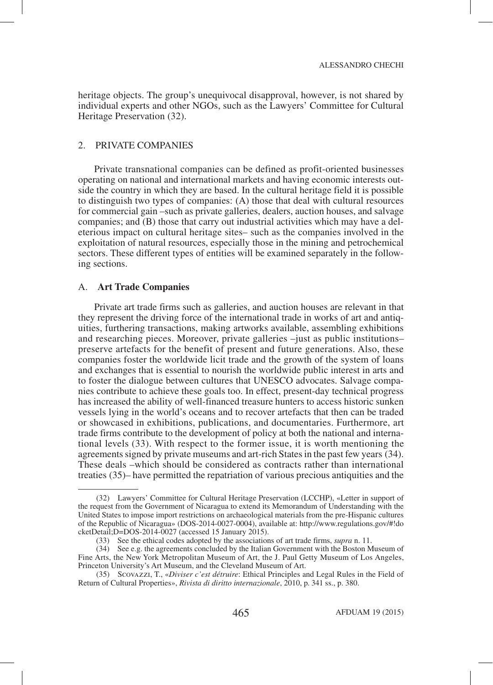heritage objects. The group's unequivocal disapproval, however, is not shared by individual experts and other NGOs, such as the Lawyers' Committee for Cultural Heritage Preservation (32).

## 2. PRIVATE COMPANIES

Private transnational companies can be defined as profit-oriented businesses operating on national and international markets and having economic interests outside the country in which they are based. In the cultural heritage field it is possible to distinguish two types of companies: (A) those that deal with cultural resources for commercial gain –such as private galleries, dealers, auction houses, and salvage companies; and (B) those that carry out industrial activities which may have a deleterious impact on cultural heritage sites– such as the companies involved in the exploitation of natural resources, especially those in the mining and petrochemical sectors. These different types of entities will be examined separately in the following sections.

### A. **Art Trade Companies**

Private art trade firms such as galleries, and auction houses are relevant in that they represent the driving force of the international trade in works of art and antiquities, furthering transactions, making artworks available, assembling exhibitions and researching pieces. Moreover, private galleries –just as public institutions– preserve artefacts for the benefit of present and future generations. Also, these companies foster the worldwide licit trade and the growth of the system of loans and exchanges that is essential to nourish the worldwide public interest in arts and to foster the dialogue between cultures that UNESCO advocates. Salvage companies contribute to achieve these goals too. In effect, present-day technical progress has increased the ability of well-financed treasure hunters to access historic sunken vessels lying in the world's oceans and to recover artefacts that then can be traded or showcased in exhibitions, publications, and documentaries. Furthermore, art trade firms contribute to the development of policy at both the national and international levels (33). With respect to the former issue, it is worth mentioning the agreements signed by private museums and art-rich States in the past few years (34). These deals –which should be considered as contracts rather than international treaties (35)– have permitted the repatriation of various precious antiquities and the

 <sup>(32)</sup> Lawyers' Committee for Cultural Heritage Preservation (LCCHP), «Letter in support of the request from the Government of Nicaragua to extend its Memorandum of Understanding with the United States to impose import restrictions on archaeological materials from the pre-Hispanic cultures of the Republic of Nicaragua» (DOS-2014-0027-0004), available at: http://www.regulations.gov/#!do cketDetail;D=DOS-2014-0027 (accessed 15 January 2015).

 <sup>(33)</sup> See the ethical codes adopted by the associations of art trade firms, *supra* n. 11.

 <sup>(34)</sup> See e.g. the agreements concluded by the Italian Government with the Boston Museum of Fine Arts, the New York Metropolitan Museum of Art, the J. Paul Getty Museum of Los Angeles, Princeton University's Art Museum, and the Cleveland Museum of Art.

 <sup>(35)</sup> Scovazzi, T., «*Diviser c'est détruire*: Ethical Principles and Legal Rules in the Field of Return of Cultural Properties», *Rivista di diritto internazionale*, 2010, p. 341 ss., p. 380.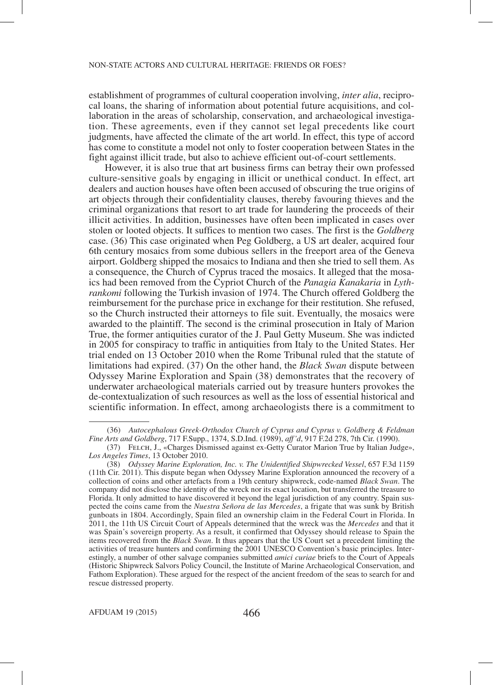establishment of programmes of cultural cooperation involving, *inter alia*, reciprocal loans, the sharing of information about potential future acquisitions, and collaboration in the areas of scholarship, conservation, and archaeological investigation. These agreements, even if they cannot set legal precedents like court judgments, have affected the climate of the art world. In effect, this type of accord has come to constitute a model not only to foster cooperation between States in the fight against illicit trade, but also to achieve efficient out-of-court settlements.

However, it is also true that art business firms can betray their own professed culture-sensitive goals by engaging in illicit or unethical conduct. In effect, art dealers and auction houses have often been accused of obscuring the true origins of art objects through their confidentiality clauses, thereby favouring thieves and the criminal organizations that resort to art trade for laundering the proceeds of their illicit activities. In addition, businesses have often been implicated in cases over stolen or looted objects. It suffices to mention two cases. The first is the *Goldberg* case. (36) This case originated when Peg Goldberg, a US art dealer, acquired four 6th century mosaics from some dubious sellers in the freeport area of the Geneva airport. Goldberg shipped the mosaics to Indiana and then she tried to sell them. As a consequence, the Church of Cyprus traced the mosaics. It alleged that the mosaics had been removed from the Cypriot Church of the *Panagia Kanakaria* in *Lythrankomi* following the Turkish invasion of 1974. The Church offered Goldberg the reimbursement for the purchase price in exchange for their restitution. She refused, so the Church instructed their attorneys to file suit. Eventually, the mosaics were awarded to the plaintiff. The second is the criminal prosecution in Italy of Marion True, the former antiquities curator of the J. Paul Getty Museum. She was indicted in 2005 for conspiracy to traffic in antiquities from Italy to the United States. Her trial ended on 13 October 2010 when the Rome Tribunal ruled that the statute of limitations had expired. (37) On the other hand, the *Black Swan* dispute between Odyssey Marine Exploration and Spain (38) demonstrates that the recovery of underwater archaeological materials carried out by treasure hunters provokes the de-contextualization of such resources as well as the loss of essential historical and scientific information. In effect, among archaeologists there is a commitment to

 <sup>(36)</sup> *Autocephalous Greek-Orthodox Church of Cyprus and Cyprus v. Goldberg & Feldman Fine Arts and Goldberg*, 717 F.Supp., 1374, S.D.Ind. (1989), *aff'd*, 917 F.2d 278, 7th Cir. (1990).

 <sup>(37)</sup> Felch, J., «Charges Dismissed against ex-Getty Curator Marion True by Italian Judge», *Los Angeles Times*, 13 October 2010.

 <sup>(38)</sup> *Odyssey Marine Exploration, Inc. v. The Unidentified Shipwrecked Vessel*, 657 F.3d 1159 (11th Cir. 2011). This dispute began when Odyssey Marine Exploration announced the recovery of a collection of coins and other artefacts from a 19th century shipwreck, code-named *Black Swan*. The company did not disclose the identity of the wreck nor its exact location, but transferred the treasure to Florida. It only admitted to have discovered it beyond the legal jurisdiction of any country. Spain suspected the coins came from the *Nuestra Señora de las Mercedes*, a frigate that was sunk by British gunboats in 1804. Accordingly, Spain filed an ownership claim in the Federal Court in Florida. In 2011, the 11th US Circuit Court of Appeals determined that the wreck was the *Mercedes* and that it was Spain's sovereign property. As a result, it confirmed that Odyssey should release to Spain the items recovered from the *Black Swan*. It thus appears that the US Court set a precedent limiting the activities of treasure hunters and confirming the 2001 UNESCO Convention's basic principles. Interestingly, a number of other salvage companies submitted *amici curiae* briefs to the Court of Appeals (Historic Shipwreck Salvors Policy Council, the Institute of Marine Archaeological Conservation, and Fathom Exploration). These argued for the respect of the ancient freedom of the seas to search for and rescue distressed property.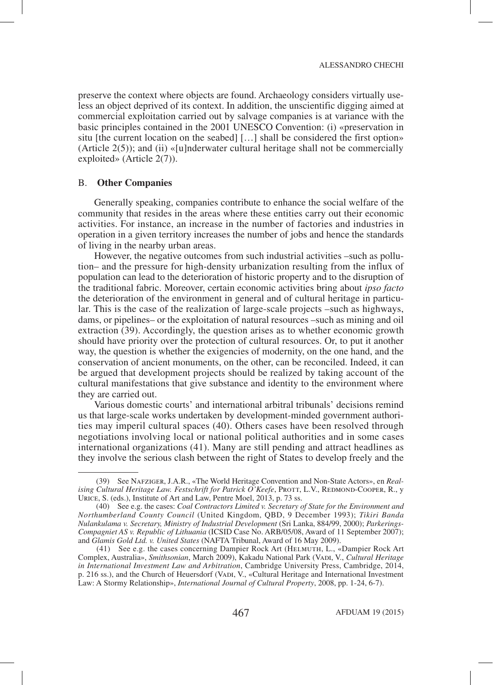preserve the context where objects are found. Archaeology considers virtually useless an object deprived of its context. In addition, the unscientific digging aimed at commercial exploitation carried out by salvage companies is at variance with the basic principles contained in the 2001 UNESCO Convention: (i) «preservation in situ [the current location on the seabed] […] shall be considered the first option» (Article  $2(5)$ ); and (ii) «[u]nderwater cultural heritage shall not be commercially exploited» (Article 2(7)).

### B. **Other Companies**

Generally speaking, companies contribute to enhance the social welfare of the community that resides in the areas where these entities carry out their economic activities. For instance, an increase in the number of factories and industries in operation in a given territory increases the number of jobs and hence the standards of living in the nearby urban areas.

However, the negative outcomes from such industrial activities –such as pollution– and the pressure for high-density urbanization resulting from the influx of population can lead to the deterioration of historic property and to the disruption of the traditional fabric. Moreover, certain economic activities bring about *ipso facto* the deterioration of the environment in general and of cultural heritage in particular. This is the case of the realization of large-scale projects –such as highways, dams, or pipelines– or the exploitation of natural resources –such as mining and oil extraction (39). Accordingly, the question arises as to whether economic growth should have priority over the protection of cultural resources. Or, to put it another way, the question is whether the exigencies of modernity, on the one hand, and the conservation of ancient monuments, on the other, can be reconciled. Indeed, it can be argued that development projects should be realized by taking account of the cultural manifestations that give substance and identity to the environment where they are carried out.

Various domestic courts' and international arbitral tribunals' decisions remind us that large-scale works undertaken by development-minded government authorities may imperil cultural spaces (40). Others cases have been resolved through negotiations involving local or national political authorities and in some cases international organizations (41). Many are still pending and attract headlines as they involve the serious clash between the right of States to develop freely and the

 <sup>(39)</sup> See Nafziger, J.A.R., «The World Heritage Convention and Non-State Actors», en *Realising Cultural Heritage Law. Festschrift for Patrick O'Keefe*, PROTT, L.V., REDMOND-COOPER, R., y Urice, S. (eds.), Institute of Art and Law, Pentre Moel, 2013, p. 73 ss.

 <sup>(40)</sup> See e.g. the cases: *Coal Contractors Limited v. Secretary of State for the Environment and Northumberland County Council* (United Kingdom, QBD, 9 December 1993); *Tikiri Banda Nulankulama v. Secretary, Ministry of Industrial Development* (Sri Lanka, 884/99, 2000); *Parkerings-Compagniet AS v. Republic of Lithuania* (ICSID Case No. ARB/05/08, Award of 11 September 2007); and *Glamis Gold Ltd. v. United States* (NAFTA Tribunal, Award of 16 May 2009).

 <sup>(41)</sup> See e.g. the cases concerning Dampier Rock Art (Helmuth, L., «Dampier Rock Art Complex, Australia», *Smithsonian*, March 2009), Kakadu National Park (Vadi, V., *Cultural Heritage in International Investment Law and Arbitration*, Cambridge University Press, Cambridge, 2014, p. 216 ss.), and the Church of Heuersdorf (VADI, V., «Cultural Heritage and International Investment Law: A Stormy Relationship», *International Journal of Cultural Property*, 2008, pp. 1-24, 6-7).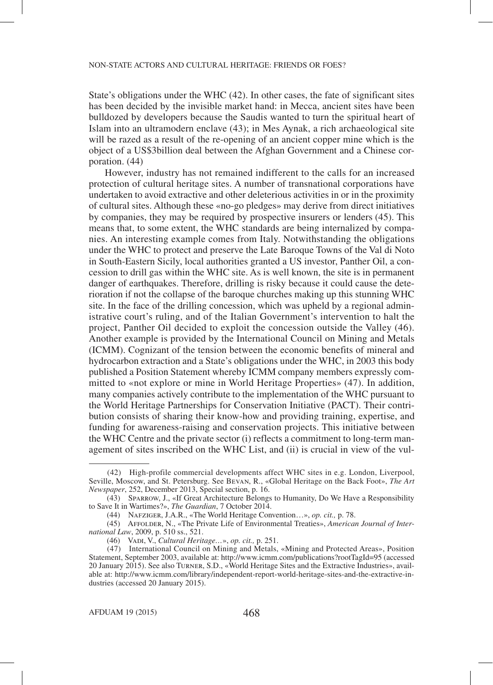State's obligations under the WHC (42). In other cases, the fate of significant sites has been decided by the invisible market hand: in Mecca, ancient sites have been bulldozed by developers because the Saudis wanted to turn the spiritual heart of Islam into an ultramodern enclave (43); in Mes Aynak, a rich archaeological site will be razed as a result of the re-opening of an ancient copper mine which is the object of a US\$3billion deal between the Afghan Government and a Chinese corporation. (44)

However, industry has not remained indifferent to the calls for an increased protection of cultural heritage sites. A number of transnational corporations have undertaken to avoid extractive and other deleterious activities in or in the proximity of cultural sites. Although these «no-go pledges» may derive from direct initiatives by companies, they may be required by prospective insurers or lenders (45). This means that, to some extent, the WHC standards are being internalized by companies. An interesting example comes from Italy. Notwithstanding the obligations under the WHC to protect and preserve the Late Baroque Towns of the Val di Noto in South-Eastern Sicily, local authorities granted a US investor, Panther Oil, a concession to drill gas within the WHC site. As is well known, the site is in permanent danger of earthquakes. Therefore, drilling is risky because it could cause the deterioration if not the collapse of the baroque churches making up this stunning WHC site. In the face of the drilling concession, which was upheld by a regional administrative court's ruling, and of the Italian Government's intervention to halt the project, Panther Oil decided to exploit the concession outside the Valley (46). Another example is provided by the International Council on Mining and Metals (ICMM). Cognizant of the tension between the economic benefits of mineral and hydrocarbon extraction and a State's obligations under the WHC, in 2003 this body published a Position Statement whereby ICMM company members expressly committed to «not explore or mine in World Heritage Properties» (47). In addition, many companies actively contribute to the implementation of the WHC pursuant to the World Heritage Partnerships for Conservation Initiative (PACT). Their contribution consists of sharing their know-how and providing training, expertise, and funding for awareness-raising and conservation projects. This initiative between the WHC Centre and the private sector (i) reflects a commitment to long-term management of sites inscribed on the WHC List, and (ii) is crucial in view of the vul-

 <sup>(42)</sup> High-profile commercial developments affect WHC sites in e.g. London, Liverpool, Seville, Moscow, and St. Petersburg. See Bevan, R., «Global Heritage on the Back Foot», *The Art Newspaper*, 252, December 2013, Special section, p. 16.

 <sup>(43)</sup> Sparrow, J., «If Great Architecture Belongs to Humanity, Do We Have a Responsibility to Save It in Wartimes?», *The Guardian*, 7 October 2014.

 <sup>(44)</sup> Nafziger, J.A.R., «The World Heritage Convention…», *op. cit.,* p. 78.

 <sup>(45)</sup> Affolder, N., «The Private Life of Environmental Treaties», *American Journal of International Law*, 2009, p. 510 ss., 521.

 <sup>(46)</sup> Vadi, V., *Cultural Heritage…*», *op. cit.,* p. 251.

 <sup>(47)</sup> International Council on Mining and Metals, «Mining and Protected Areas», Position Statement, September 2003, available at: http://www.icmm.com/publications?rootTagId=95 (accessed 20 January 2015). See also Turner, S.D., «World Heritage Sites and the Extractive Industries», available at: http://www.icmm.com/library/independent-report-world-heritage-sites-and-the-extractive-industries (accessed 20 January 2015).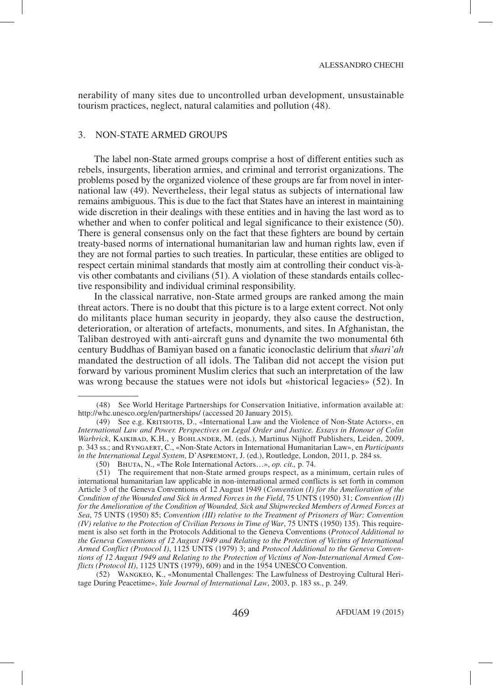nerability of many sites due to uncontrolled urban development, unsustainable tourism practices, neglect, natural calamities and pollution (48).

## 3. NON-STATE ARMED GROUPS

The label non-State armed groups comprise a host of different entities such as rebels, insurgents, liberation armies, and criminal and terrorist organizations. The problems posed by the organized violence of these groups are far from novel in international law (49). Nevertheless, their legal status as subjects of international law remains ambiguous. This is due to the fact that States have an interest in maintaining wide discretion in their dealings with these entities and in having the last word as to whether and when to confer political and legal significance to their existence (50). There is general consensus only on the fact that these fighters are bound by certain treaty-based norms of international humanitarian law and human rights law, even if they are not formal parties to such treaties. In particular, these entities are obliged to respect certain minimal standards that mostly aim at controlling their conduct vis-àvis other combatants and civilians (51). A violation of these standards entails collective responsibility and individual criminal responsibility.

In the classical narrative, non-State armed groups are ranked among the main threat actors. There is no doubt that this picture is to a large extent correct. Not only do militants place human security in jeopardy, they also cause the destruction, deterioration, or alteration of artefacts, monuments, and sites. In Afghanistan, the Taliban destroyed with anti-aircraft guns and dynamite the two monumental 6th century Buddhas of Bamiyan based on a fanatic iconoclastic delirium that *shari'ah* mandated the destruction of all idols. The Taliban did not accept the vision put forward by various prominent Muslim clerics that such an interpretation of the law was wrong because the statues were not idols but «historical legacies» (52). In

 (52) Wangkeo, K., «Monumental Challenges: The Lawfulness of Destroying Cultural Heritage During Peacetime», *Yale Journal of International Law*, 2003, p. 183 ss., p. 249.

 <sup>(48)</sup> See World Heritage Partnerships for Conservation Initiative, information available at: http://whc.unesco.org/en/partnerships/ (accessed 20 January 2015).

 <sup>(49)</sup> See e.g. Kritsiotis, D., «International Law and the Violence of Non-State Actors», en *International Law and Power. Perspectives on Legal Order and Justice. Essays in Honour of Colin Warbrick*, Kaikibad, K.H., y Bohlander, M. (eds.), Martinus Nijhoff Publishers, Leiden, 2009, p. 343 ss.; and Ryngaert, C., «Non-State Actors in International Humanitarian Law», en *Participants in the International Legal System*, D'Aspremont, J. (ed.), Routledge, London, 2011, p. 284 ss.

 <sup>(50)</sup> Bhuta, N., «The Role International Actors…», *op. cit.,* p. 74.

 <sup>(51)</sup> The requirement that non-State armed groups respect, as a minimum, certain rules of international humanitarian law applicable in non-international armed conflicts is set forth in common Article 3 of the Geneva Conventions of 12 August 1949 (*Convention (I) for the Amelioration of the Condition of the Wounded and Sick in Armed Forces in the Field*, 75 UNTS (1950) 31; *Convention (II) for the Amelioration of the Condition of Wounded, Sick and Shipwrecked Members of Armed Forces at Sea*, 75 UNTS (1950) 85; *Convention (III) relative to the Treatment of Prisoners of War; Convention (IV) relative to the Protection of Civilian Persons in Time of War*, 75 UNTS (1950) 135). This requirement is also set forth in the Protocols Additional to the Geneva Conventions (*Protocol Additional to the Geneva Conventions of 12 August 1949 and Relating to the Protection of Victims of International Armed Conflict (Protocol I)*, 1125 UNTS (1979) 3; and *Protocol Additional to the Geneva Conventions of 12 August 1949 and Relating to the Protection of Victims of Non-International Armed Conflicts (Protocol II)*, 1125 UNTS (1979), 609) and in the 1954 UNESCO Convention.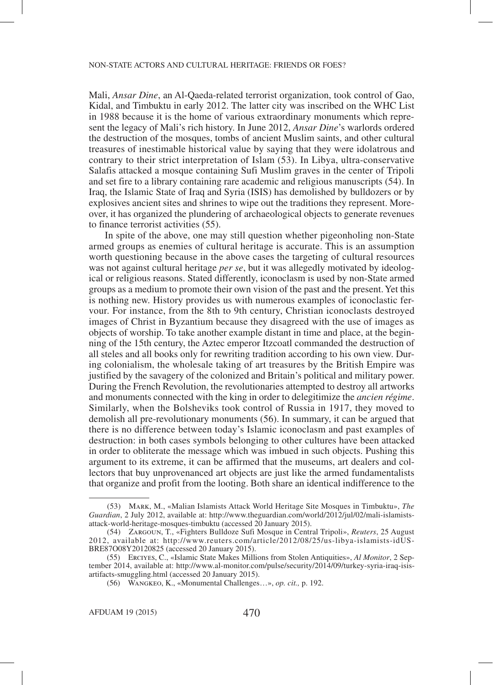Mali, *Ansar Dine*, an Al-Qaeda-related terrorist organization, took control of Gao, Kidal, and Timbuktu in early 2012. The latter city was inscribed on the WHC List in 1988 because it is the home of various extraordinary monuments which represent the legacy of Mali's rich history. In June 2012, *Ansar Dine*'s warlords ordered the destruction of the mosques, tombs of ancient Muslim saints, and other cultural treasures of inestimable historical value by saying that they were idolatrous and contrary to their strict interpretation of Islam (53). In Libya, ultra-conservative Salafis attacked a mosque containing Sufi Muslim graves in the center of Tripoli and set fire to a library containing rare academic and religious manuscripts (54). In Iraq, the Islamic State of Iraq and Syria (ISIS) has demolished by bulldozers or by explosives ancient sites and shrines to wipe out the traditions they represent. Moreover, it has organized the plundering of archaeological objects to generate revenues to finance terrorist activities (55).

In spite of the above, one may still question whether pigeonholing non-State armed groups as enemies of cultural heritage is accurate. This is an assumption worth questioning because in the above cases the targeting of cultural resources was not against cultural heritage *per se*, but it was allegedly motivated by ideological or religious reasons. Stated differently, iconoclasm is used by non-State armed groups as a medium to promote their own vision of the past and the present. Yet this is nothing new. History provides us with numerous examples of iconoclastic fervour. For instance, from the 8th to 9th century, Christian iconoclasts destroyed images of Christ in Byzantium because they disagreed with the use of images as objects of worship. To take another example distant in time and place, at the beginning of the 15th century, the Aztec emperor Itzcoatl commanded the destruction of all steles and all books only for rewriting tradition according to his own view. During colonialism, the wholesale taking of art treasures by the British Empire was justified by the savagery of the colonized and Britain's political and military power. During the French Revolution, the revolutionaries attempted to destroy all artworks and monuments connected with the king in order to delegitimize the *ancien régime*. Similarly, when the Bolsheviks took control of Russia in 1917, they moved to demolish all pre-revolutionary monuments (56). In summary, it can be argued that there is no difference between today's Islamic iconoclasm and past examples of destruction: in both cases symbols belonging to other cultures have been attacked in order to obliterate the message which was imbued in such objects. Pushing this argument to its extreme, it can be affirmed that the museums, art dealers and collectors that buy unprovenanced art objects are just like the armed fundamentalists that organize and profit from the looting. Both share an identical indifference to the

 <sup>(53)</sup> Mark, M., «Malian Islamists Attack World Heritage Site Mosques in Timbuktu», *The Guardian*, 2 July 2012, available at: http://www.theguardian.com/world/2012/jul/02/mali-islamistsattack-world-heritage-mosques-timbuktu (accessed 20 January 2015).

 <sup>(54)</sup> Zargoun, T., «Fighters Bulldoze Sufi Mosque in Central Tripoli», *Reuters*, 25 August 2012, available at: http://www.reuters.com/article/2012/08/25/us-libya-islamists-idUS-BRE87O08Y20120825 (accessed 20 January 2015).

 <sup>(55)</sup> Erciyes, C., «Islamic State Makes Millions from Stolen Antiquities», *Al Monitor*, 2 September 2014, available at: http://www.al-monitor.com/pulse/security/2014/09/turkey-syria-iraq-isisartifacts-smuggling.html (accessed 20 January 2015).

 <sup>(56)</sup> Wangkeo, K., «Monumental Challenges…», *op. cit.,* p. 192.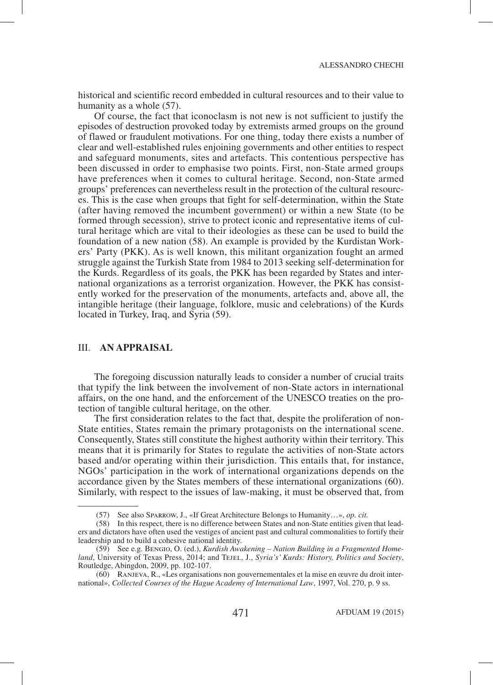historical and scientific record embedded in cultural resources and to their value to humanity as a whole (57).

Of course, the fact that iconoclasm is not new is not sufficient to justify the episodes of destruction provoked today by extremists armed groups on the ground of flawed or fraudulent motivations. For one thing, today there exists a number of clear and well-established rules enjoining governments and other entities to respect and safeguard monuments, sites and artefacts. This contentious perspective has been discussed in order to emphasise two points. First, non-State armed groups have preferences when it comes to cultural heritage. Second, non-State armed groups' preferences can nevertheless result in the protection of the cultural resources. This is the case when groups that fight for self-determination, within the State (after having removed the incumbent government) or within a new State (to be formed through secession), strive to protect iconic and representative items of cultural heritage which are vital to their ideologies as these can be used to build the foundation of a new nation (58). An example is provided by the Kurdistan Workers' Party (PKK). As is well known, this militant organization fought an armed struggle against the Turkish State from 1984 to 2013 seeking self-determination for the Kurds. Regardless of its goals, the PKK has been regarded by States and international organizations as a terrorist organization. However, the PKK has consistently worked for the preservation of the monuments, artefacts and, above all, the intangible heritage (their language, folklore, music and celebrations) of the Kurds located in Turkey, Iraq, and Syria (59).

## III. **AN APPRAISAL**

The foregoing discussion naturally leads to consider a number of crucial traits that typify the link between the involvement of non-State actors in international affairs, on the one hand, and the enforcement of the UNESCO treaties on the protection of tangible cultural heritage, on the other.

The first consideration relates to the fact that, despite the proliferation of non-State entities, States remain the primary protagonists on the international scene. Consequently, States still constitute the highest authority within their territory. This means that it is primarily for States to regulate the activities of non-State actors based and/or operating within their jurisdiction. This entails that, for instance, NGOs' participation in the work of international organizations depends on the accordance given by the States members of these international organizations (60). Similarly, with respect to the issues of law-making, it must be observed that, from

 <sup>(57)</sup> See also Sparrow, J., «If Great Architecture Belongs to Humanity…», *op. cit.* 

 <sup>(58)</sup> In this respect, there is no difference between States and non-State entities given that leaders and dictators have often used the vestiges of ancient past and cultural commonalities to fortify their leadership and to build a cohesive national identity.

 <sup>(59)</sup> See e.g. Bengio, O. (ed.), *Kurdish Awakening – Nation Building in a Fragmented Homeland*, University of Texas Press, 2014; and TeJEL, J., *Syria's' Kurds: History, Politics and Society*, Routledge, Abingdon, 2009, pp. 102-107.

 <sup>(60)</sup> Ranjeva, R., «Les organisations non gouvernementales et la mise en œuvre du droit international», *Collected Courses of the Hague Academy of International Law*, 1997, Vol. 270, p. 9 ss.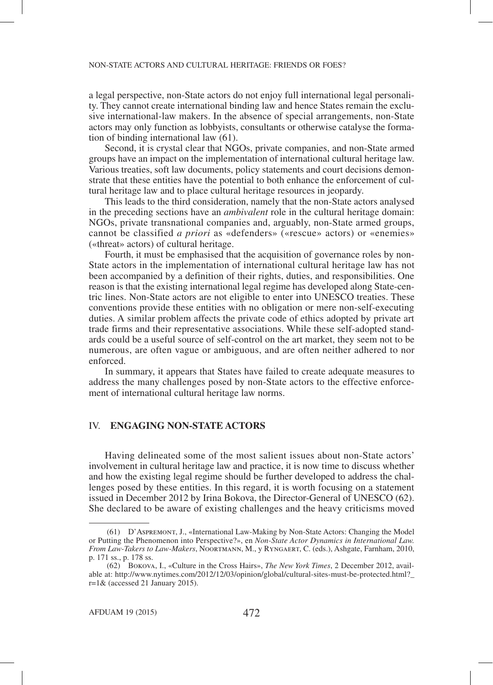a legal perspective, non-State actors do not enjoy full international legal personality. They cannot create international binding law and hence States remain the exclusive international-law makers. In the absence of special arrangements, non-State actors may only function as lobbyists, consultants or otherwise catalyse the formation of binding international law (61).

Second, it is crystal clear that NGOs, private companies, and non-State armed groups have an impact on the implementation of international cultural heritage law. Various treaties, soft law documents, policy statements and court decisions demonstrate that these entities have the potential to both enhance the enforcement of cultural heritage law and to place cultural heritage resources in jeopardy.

This leads to the third consideration, namely that the non-State actors analysed in the preceding sections have an *ambivalent* role in the cultural heritage domain: NGOs, private transnational companies and, arguably, non-State armed groups, cannot be classified *a priori* as «defenders» («rescue» actors) or «enemies» («threat» actors) of cultural heritage.

Fourth, it must be emphasised that the acquisition of governance roles by non-State actors in the implementation of international cultural heritage law has not been accompanied by a definition of their rights, duties, and responsibilities. One reason is that the existing international legal regime has developed along State-centric lines. Non-State actors are not eligible to enter into UNESCO treaties. These conventions provide these entities with no obligation or mere non-self-executing duties. A similar problem affects the private code of ethics adopted by private art trade firms and their representative associations. While these self-adopted standards could be a useful source of self-control on the art market, they seem not to be numerous, are often vague or ambiguous, and are often neither adhered to nor enforced.

In summary, it appears that States have failed to create adequate measures to address the many challenges posed by non-State actors to the effective enforcement of international cultural heritage law norms.

## IV. **ENGAGING NON-STATE ACTORS**

Having delineated some of the most salient issues about non-State actors' involvement in cultural heritage law and practice, it is now time to discuss whether and how the existing legal regime should be further developed to address the challenges posed by these entities. In this regard, it is worth focusing on a statement issued in December 2012 by Irina Bokova, the Director-General of UNESCO (62). She declared to be aware of existing challenges and the heavy criticisms moved

 <sup>(61)</sup> D'Aspremont, J., «International Law-Making by Non-State Actors: Changing the Model or Putting the Phenomenon into Perspective?», en *Non-State Actor Dynamics in International Law. From Law-Takers to Law-Makers*, Noortmann, M., y Ryngaert, C. (eds.), Ashgate, Farnham, 2010, p. 171 ss., p. 178 ss.

 <sup>(62)</sup> Bokova, I., «Culture in the Cross Hairs», *The New York Times*, 2 December 2012, available at: http://www.nytimes.com/2012/12/03/opinion/global/cultural-sites-must-be-protected.html?\_  $r=1$ & (accessed 21 January 2015).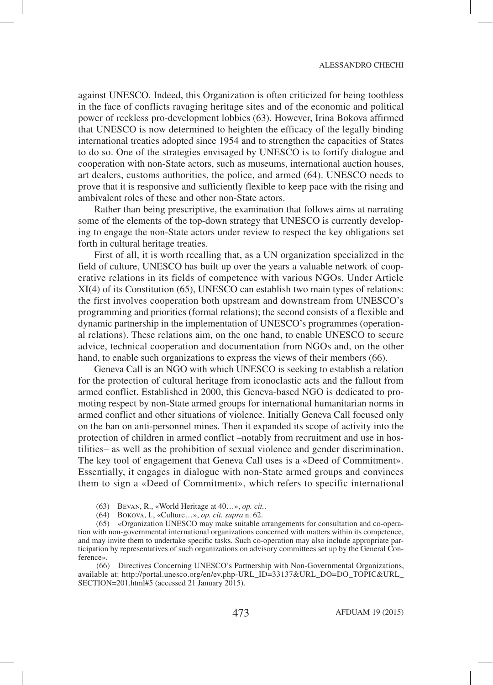against UNESCO. Indeed, this Organization is often criticized for being toothless in the face of conflicts ravaging heritage sites and of the economic and political power of reckless pro-development lobbies (63). However, Irina Bokova affirmed that UNESCO is now determined to heighten the efficacy of the legally binding international treaties adopted since 1954 and to strengthen the capacities of States to do so. One of the strategies envisaged by UNESCO is to fortify dialogue and cooperation with non-State actors, such as museums, international auction houses, art dealers, customs authorities, the police, and armed (64). UNESCO needs to prove that it is responsive and sufficiently flexible to keep pace with the rising and ambivalent roles of these and other non-State actors.

Rather than being prescriptive, the examination that follows aims at narrating some of the elements of the top-down strategy that UNESCO is currently developing to engage the non-State actors under review to respect the key obligations set forth in cultural heritage treaties.

First of all, it is worth recalling that, as a UN organization specialized in the field of culture, UNESCO has built up over the years a valuable network of cooperative relations in its fields of competence with various NGOs. Under Article XI(4) of its Constitution (65), UNESCO can establish two main types of relations: the first involves cooperation both upstream and downstream from UNESCO's programming and priorities (formal relations); the second consists of a flexible and dynamic partnership in the implementation of UNESCO's programmes (operational relations). These relations aim, on the one hand, to enable UNESCO to secure advice, technical cooperation and documentation from NGOs and, on the other hand, to enable such organizations to express the views of their members (66).

Geneva Call is an NGO with which UNESCO is seeking to establish a relation for the protection of cultural heritage from iconoclastic acts and the fallout from armed conflict. Established in 2000, this Geneva-based NGO is dedicated to promoting respect by non-State armed groups for international humanitarian norms in armed conflict and other situations of violence. Initially Geneva Call focused only on the ban on anti-personnel mines. Then it expanded its scope of activity into the protection of children in armed conflict –notably from recruitment and use in hostilities– as well as the prohibition of sexual violence and gender discrimination. The key tool of engagement that Geneva Call uses is a «Deed of Commitment». Essentially, it engages in dialogue with non-State armed groups and convinces them to sign a «Deed of Commitment», which refers to specific international

 <sup>(63)</sup> Bevan, R., «World Heritage at 40…», *op. cit.*.

 <sup>(64)</sup> Bokova, I., «Culture…», *op. cit. supra* n. 62.

 <sup>(65)</sup> «Organization UNESCO may make suitable arrangements for consultation and co-operation with non-governmental international organizations concerned with matters within its competence, and may invite them to undertake specific tasks. Such co-operation may also include appropriate participation by representatives of such organizations on advisory committees set up by the General Conference».

 <sup>(66)</sup> Directives Concerning UNESCO's Partnership with Non-Governmental Organizations, available at: http://portal.unesco.org/en/ev.php-URL\_ID=33137&URL\_DO=DO\_TOPIC&URL\_ SECTION=201.html#5 (accessed 21 January 2015).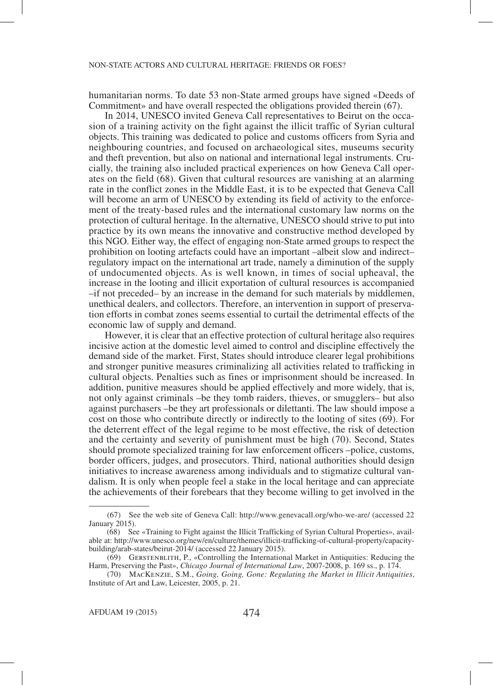humanitarian norms. To date 53 non-State armed groups have signed «Deeds of Commitment» and have overall respected the obligations provided therein (67).

In 2014, UNESCO invited Geneva Call representatives to Beirut on the occasion of a training activity on the fight against the illicit traffic of Syrian cultural objects. This training was dedicated to police and customs officers from Syria and neighbouring countries, and focused on archaeological sites, museums security and theft prevention, but also on national and international legal instruments. Crucially, the training also included practical experiences on how Geneva Call operates on the field (68). Given that cultural resources are vanishing at an alarming rate in the conflict zones in the Middle East, it is to be expected that Geneva Call will become an arm of UNESCO by extending its field of activity to the enforcement of the treaty-based rules and the international customary law norms on the protection of cultural heritage. In the alternative, UNESCO should strive to put into practice by its own means the innovative and constructive method developed by this NGO. Either way, the effect of engaging non-State armed groups to respect the prohibition on looting artefacts could have an important –albeit slow and indirect– regulatory impact on the international art trade, namely a diminution of the supply of undocumented objects. As is well known, in times of social upheaval, the increase in the looting and illicit exportation of cultural resources is accompanied –if not preceded– by an increase in the demand for such materials by middlemen, unethical dealers, and collectors. Therefore, an intervention in support of preservation efforts in combat zones seems essential to curtail the detrimental effects of the economic law of supply and demand.

However, it is clear that an effective protection of cultural heritage also requires incisive action at the domestic level aimed to control and discipline effectively the demand side of the market. First, States should introduce clearer legal prohibitions and stronger punitive measures criminalizing all activities related to trafficking in cultural objects. Penalties such as fines or imprisonment should be increased. In addition, punitive measures should be applied effectively and more widely, that is, not only against criminals –be they tomb raiders, thieves, or smugglers– but also against purchasers –be they art professionals or dilettanti. The law should impose a cost on those who contribute directly or indirectly to the looting of sites (69). For the deterrent effect of the legal regime to be most effective, the risk of detection and the certainty and severity of punishment must be high (70). Second, States should promote specialized training for law enforcement officers –police, customs, border officers, judges, and prosecutors. Third, national authorities should design initiatives to increase awareness among individuals and to stigmatize cultural vandalism. It is only when people feel a stake in the local heritage and can appreciate the achievements of their forebears that they become willing to get involved in the

 <sup>(67)</sup> See the web site of Geneva Call: http://www.genevacall.org/who-we-are/ (accessed 22 January 2015).

 <sup>(68)</sup> See «Training to Fight against the Illicit Trafficking of Syrian Cultural Properties», available at: http://www.unesco.org/new/en/culture/themes/illicit-trafficking-of-cultural-property/capacitybuilding/arab-states/beirut-2014/ (accessed 22 January 2015).

 <sup>(69)</sup> Gerstenblith, P., «Controlling the International Market in Antiquities: Reducing the Harm, Preserving the Past», *Chicago Journal of International Law*, 2007-2008, p. 169 ss., p. 174.

 <sup>(70)</sup> MacKenzie, S.M., *Going, Going, Gone: Regulating the Market in Illicit Antiquities*, Institute of Art and Law, Leicester, 2005, p. 21.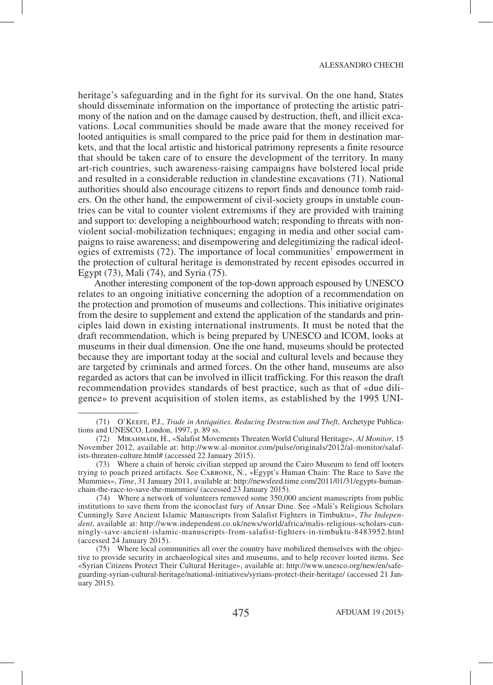heritage's safeguarding and in the fight for its survival. On the one hand, States should disseminate information on the importance of protecting the artistic patrimony of the nation and on the damage caused by destruction, theft, and illicit excavations. Local communities should be made aware that the money received for looted antiquities is small compared to the price paid for them in destination markets, and that the local artistic and historical patrimony represents a finite resource that should be taken care of to ensure the development of the territory. In many art-rich countries, such awareness-raising campaigns have bolstered local pride and resulted in a considerable reduction in clandestine excavations (71). National authorities should also encourage citizens to report finds and denounce tomb raiders. On the other hand, the empowerment of civil-society groups in unstable countries can be vital to counter violent extremisms if they are provided with training and support to: developing a neighbourhood watch; responding to threats with nonviolent social-mobilization techniques; engaging in media and other social campaigns to raise awareness; and disempowering and delegitimizing the radical ideologies of extremists (72). The importance of local communities' empowerment in the protection of cultural heritage is demonstrated by recent episodes occurred in Egypt (73), Mali (74), and Syria (75).

Another interesting component of the top-down approach espoused by UNESCO relates to an ongoing initiative concerning the adoption of a recommendation on the protection and promotion of museums and collections. This initiative originates from the desire to supplement and extend the application of the standards and principles laid down in existing international instruments. It must be noted that the draft recommendation, which is being prepared by UNESCO and ICOM, looks at museums in their dual dimension. One the one hand, museums should be protected because they are important today at the social and cultural levels and because they are targeted by criminals and armed forces. On the other hand, museums are also regarded as actors that can be involved in illicit trafficking. For this reason the draft recommendation provides standards of best practice, such as that of «due diligence» to prevent acquisition of stolen items, as established by the 1995 UNI-

 <sup>(71)</sup> O'Keefe, P.J., *Trade in Antiquities. Reducing Destruction and Theft*, Archetype Publications and UNESCO, London, 1997, p. 89 ss.

 <sup>(72)</sup> Mirahmadi, H., «Salafist Movements Threaten World Cultural Heritage», *Al Monitor*, 15 November 2012, available at: http://www.al-monitor.com/pulse/originals/2012/al-monitor/salafists-threaten-culture.html# (accessed 22 January 2015).

 <sup>(73)</sup> Where a chain of heroic civilian stepped up around the Cairo Museum to fend off looters trying to poach prized artifacts. See Carbone, N., «Egypt's Human Chain: The Race to Save the Mummies», *Time*, 31 January 2011, available at: http://newsfeed.time.com/2011/01/31/egypts-humanchain-the-race-to-save-the-mummies/ (accessed 23 January 2015).

 <sup>(74)</sup> Where a network of volunteers removed some 350,000 ancient manuscripts from public institutions to save them from the iconoclast fury of Ansar Dine. See «Mali's Religious Scholars Cunningly Save Ancient Islamic Manuscripts from Salafist Fighters in Timbuktu», *The Independent*, available at: http://www.independent.co.uk/news/world/africa/malis-religious-scholars-cunningly-save-ancient-islamic-manuscripts-from-salafist-fighters-in-timbuktu-8483952.html (accessed 24 January 2015).

 <sup>(75)</sup> Where local communities all over the country have mobilized themselves with the objective to provide security in archaeological sites and museums, and to help recover looted items. See «Syrian Citizens Protect Their Cultural Heritage», available at: http://www.unesco.org/new/en/safeguarding-syrian-cultural-heritage/national-initiatives/syrians-protect-their-heritage/ (accessed 21 January 2015).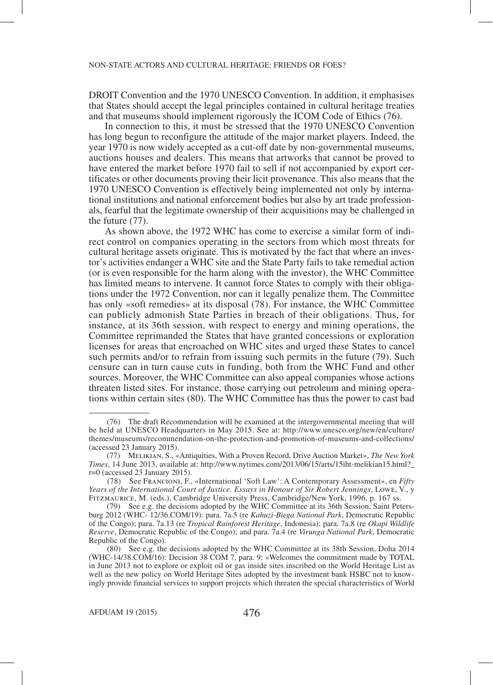DROIT Convention and the 1970 UNESCO Convention. In addition, it emphasises that States should accept the legal principles contained in cultural heritage treaties and that museums should implement rigorously the ICOM Code of Ethics (76).

In connection to this, it must be stressed that the 1970 UNESCO Convention has long begun to reconfigure the attitude of the major market players. Indeed, the year 1970 is now widely accepted as a cut-off date by non-governmental museums, auctions houses and dealers. This means that artworks that cannot be proved to have entered the market before 1970 fail to sell if not accompanied by export certificates or other documents proving their licit provenance. This also means that the 1970 UNESCO Convention is effectively being implemented not only by international institutions and national enforcement bodies but also by art trade professionals, fearful that the legitimate ownership of their acquisitions may be challenged in the future (77).

As shown above, the 1972 WHC has come to exercise a similar form of indirect control on companies operating in the sectors from which most threats for cultural heritage assets originate. This is motivated by the fact that where an investor's activities endanger a WHC site and the State Party fails to take remedial action (or is even responsible for the harm along with the investor), the WHC Committee has limited means to intervene. It cannot force States to comply with their obligations under the 1972 Convention, nor can it legally penalize them. The Committee has only «soft remedies» at its disposal (78). For instance, the WHC Committee can publicly admonish State Parties in breach of their obligations. Thus, for instance, at its 36th session, with respect to energy and mining operations, the Committee reprimanded the States that have granted concessions or exploration licenses for areas that encroached on WHC sites and urged these States to cancel such permits and/or to refrain from issuing such permits in the future (79). Such censure can in turn cause cuts in funding, both from the WHC Fund and other sources. Moreover, the WHC Committee can also appeal companies whose actions threaten listed sites. For instance, those carrying out petroleum and mining operations within certain sites (80). The WHC Committee has thus the power to cast bad

 <sup>(76)</sup> The draft Recommendation will be examined at the intergovernmental meeting that will be held at UNESCO Headquarters in May 2015. See at: http://www.unesco.org/new/en/culture/ themes/museums/recommendation-on-the-protection-and-promotion-of-museums-and-collections/ (accessed 23 January 2015).

 <sup>(77)</sup> Melikian, S., «Antiquities, With a Proven Record, Drive Auction Market», *The New York Times*, 14 June 2013, available at: http://www.nytimes.com/2013/06/15/arts/15iht-melikian15.html?\_ r=0 (accessed 23 January 2015).

 <sup>(78)</sup> See Francioni, F., «International 'Soft Law': A Contemporary Assessment», en *Fifty Years of the International Court of Justice. Essays in Honour of Sir Robert Jennings*, Lowe, V., y Fitzmaurice, M. (eds.), Cambridge University Press, Cambridge/New York, 1996, p. 167 ss.

 <sup>(79)</sup> See e.g. the decisions adopted by the WHC Committee at its 36th Session, Saint Petersburg 2012 (WHC- 12/36.COM/19): para. 7a.5 (re *Kahuzi-Biega National Park*, Democratic Republic of the Congo); para. 7a.13 (re *Tropical Rainforest Heritage*, Indonesia); para. 7a.8 (re *Okapi Wildlife Reserve*, Democratic Republic of the Congo); and para. 7a.4 (re *Virunga National Park*, Democratic Republic of the Congo).

 <sup>(80)</sup> See e.g. the decisions adopted by the WHC Committee at its 38th Session, Doha 2014 (WHC-14/38.COM/16): Decision 38 COM 7, para. 9: «Welcomes the commitment made by TOTAL in June 2013 not to explore or exploit oil or gas inside sites inscribed on the World Heritage List as well as the new policy on World Heritage Sites adopted by the investment bank HSBC not to knowingly provide financial services to support projects which threaten the special characteristics of World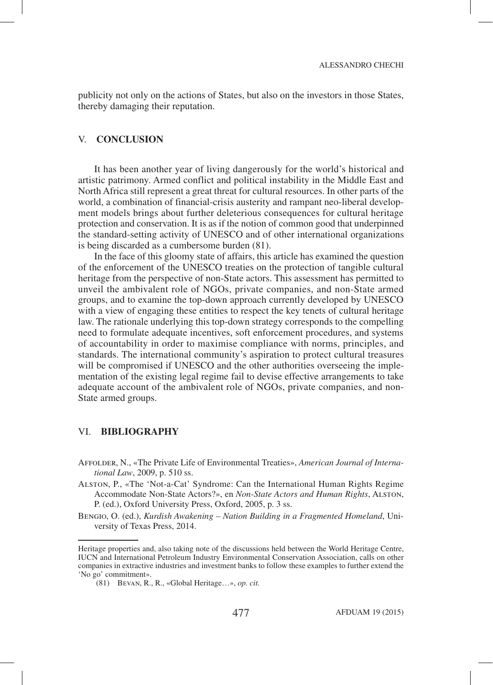publicity not only on the actions of States, but also on the investors in those States, thereby damaging their reputation.

## V. **CONCLUSION**

It has been another year of living dangerously for the world's historical and artistic patrimony. Armed conflict and political instability in the Middle East and North Africa still represent a great threat for cultural resources. In other parts of the world, a combination of financial-crisis austerity and rampant neo-liberal development models brings about further deleterious consequences for cultural heritage protection and conservation. It is as if the notion of common good that underpinned the standard-setting activity of UNESCO and of other international organizations is being discarded as a cumbersome burden (81).

In the face of this gloomy state of affairs, this article has examined the question of the enforcement of the UNESCO treaties on the protection of tangible cultural heritage from the perspective of non-State actors. This assessment has permitted to unveil the ambivalent role of NGOs, private companies, and non-State armed groups, and to examine the top-down approach currently developed by UNESCO with a view of engaging these entities to respect the key tenets of cultural heritage law. The rationale underlying this top-down strategy corresponds to the compelling need to formulate adequate incentives, soft enforcement procedures, and systems of accountability in order to maximise compliance with norms, principles, and standards. The international community's aspiration to protect cultural treasures will be compromised if UNESCO and the other authorities overseeing the implementation of the existing legal regime fail to devise effective arrangements to take adequate account of the ambivalent role of NGOs, private companies, and non-State armed groups.

## VI. **BIBLIOGRAPHY**

- Affolder, N., «The Private Life of Environmental Treaties», *American Journal of International Law*, 2009, p. 510 ss.
- Alston, P., «The 'Not-a-Cat' Syndrome: Can the International Human Rights Regime Accommodate Non-State Actors?», en *Non-State Actors and Human Rights*, Alston, P. (ed.), Oxford University Press, Oxford, 2005, p. 3 ss.

Bengio, O. (ed.), *Kurdish Awakening – Nation Building in a Fragmented Homeland*, University of Texas Press, 2014.

Heritage properties and, also taking note of the discussions held between the World Heritage Centre, IUCN and International Petroleum Industry Environmental Conservation Association, calls on other companies in extractive industries and investment banks to follow these examples to further extend the 'No go' commitment».

 <sup>(81)</sup> Bevan, R., R., «Global Heritage…», *op. cit.*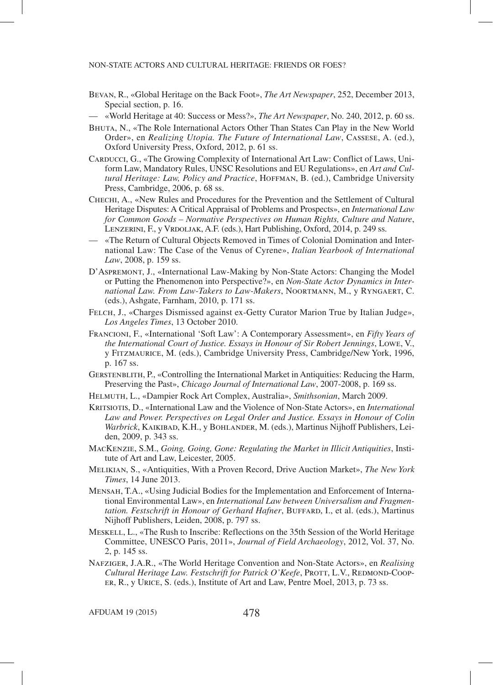- Bevan, R., «Global Heritage on the Back Foot», *The Art Newspaper*, 252, December 2013, Special section, p. 16.
- «World Heritage at 40: Success or Mess?», *The Art Newspaper*, No. 240, 2012, p. 60 ss.
- Bhuta, N., «The Role International Actors Other Than States Can Play in the New World Order», en *Realizing Utopia. The Future of International Law*, Cassese, A. (ed.), Oxford University Press, Oxford, 2012, p. 61 ss.
- CARDUCCI, G., «The Growing Complexity of International Art Law: Conflict of Laws, Uniform Law, Mandatory Rules, UNSC Resolutions and EU Regulations», en *Art and Cul*tural Heritage: Law, Policy and Practice, HOFFMAN, B. (ed.), Cambridge University Press, Cambridge, 2006, p. 68 ss.
- Chechi, A., «New Rules and Procedures for the Prevention and the Settlement of Cultural Heritage Disputes: A Critical Appraisal of Problems and Prospects», en *International Law for Common Goods – Normative Perspectives on Human Rights, Culture and Nature*, LENZERINI, F., y VRDOLJAK, A.F. (eds.), Hart Publishing, Oxford, 2014, p. 249 ss.
- «The Return of Cultural Objects Removed in Times of Colonial Domination and International Law: The Case of the Venus of Cyrene», *Italian Yearbook of International Law*, 2008, p. 159 ss.
- D'Aspremont, J., «International Law-Making by Non-State Actors: Changing the Model or Putting the Phenomenon into Perspective?», en *Non-State Actor Dynamics in International Law. From Law-Takers to Law-Makers*, Noortmann, M., y Ryngaert, C. (eds.), Ashgate, Farnham, 2010, p. 171 ss.
- Felch, J., «Charges Dismissed against ex-Getty Curator Marion True by Italian Judge», *Los Angeles Times*, 13 October 2010.
- Francioni, F., «International 'Soft Law': A Contemporary Assessment», en *Fifty Years of the International Court of Justice. Essays in Honour of Sir Robert Jennings*, Lowe, V., y Fitzmaurice, M. (eds.), Cambridge University Press, Cambridge/New York, 1996, p. 167 ss.
- GERSTENBLITH, P., «Controlling the International Market in Antiquities: Reducing the Harm, Preserving the Past», *Chicago Journal of International Law*, 2007-2008, p. 169 ss.
- Helmuth, L., «Dampier Rock Art Complex, Australia», *Smithsonian*, March 2009.
- Kritsiotis, D., «International Law and the Violence of Non-State Actors», en *International Law and Power. Perspectives on Legal Order and Justice. Essays in Honour of Colin Warbrick*, Kaikibad, K.H., y Bohlander, M. (eds.), Martinus Nijhoff Publishers, Leiden, 2009, p. 343 ss.
- MacKenzie, S.M., *Going, Going, Gone: Regulating the Market in Illicit Antiquities*, Institute of Art and Law, Leicester, 2005.
- Melikian, S., «Antiquities, With a Proven Record, Drive Auction Market», *The New York Times*, 14 June 2013.
- Mensah, T.A., «Using Judicial Bodies for the Implementation and Enforcement of International Environmental Law», en *International Law between Universalism and Fragmen*tation. Festschrift in Honour of Gerhard Hafner, BUFFARD, I., et al. (eds.), Martinus Nijhoff Publishers, Leiden, 2008, p. 797 ss.
- Meskell, L., «The Rush to Inscribe: Reflections on the 35th Session of the World Heritage Committee, UNESCO Paris, 2011», *Journal of Field Archaeology*, 2012, Vol. 37, No. 2, p. 145 ss.
- Nafziger, J.A.R., «The World Heritage Convention and Non-State Actors», en *Realising Cultural Heritage Law. Festschrift for Patrick O'Keefe*, PROTT, L.V., REDMOND-COOPer, R., y Urice, S. (eds.), Institute of Art and Law, Pentre Moel, 2013, p. 73 ss.